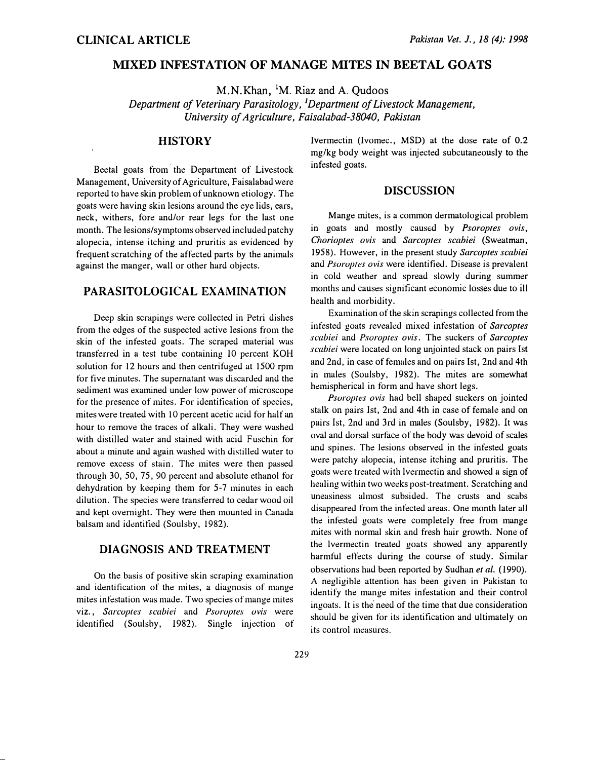### MIXED INFESTATION OF MANAGE MITES IN BEETAL GOATS

M.N.Khan, 1M. Riaz and A. Qudoos

Department of Veterinary Parasitology, <sup>1</sup>Department of Livestock Management, University of Agriculture, Faisalabad-38040, Pakistan

# **HISTORY**

Beetal goats from the Department of Livestock Management, University of Agriculture, Faisalabad were reported to have skin problem of unknown etiology. The goats were having skin lesions around the eye lids, ears, neck, withers, fore and/or rear legs for the last one month. The lesions/symptoms observed included patchy alopecia, intense itching and pruritis as evidenced by frequent scratching of the affected parts by the animals against the manger, wall or other hard objects.

# PARASITOLOGICAL EXAMINATION

Deep skin scrapings were collected in Petri dishes from the edges of the suspected active lesions from the skin of the infested goats. The scraped material was transferred in a test tube containing 10 percent KOH solution for 12 hours and then centrifuged at 1500 rpm for five minutes. The supernatant was discarded and the sediment was examined under low power of microscope for the presence of mites. For identification of species, mites were treated with 10 percent acetic acid for half an hour to remove the traces of alkali. They were washed with distilled water and stained with acid Fuschin for about a minute and again washed with distilled water to remove excess of stain. The mites were then passed through 30, 50, 75, 90 percent and absolute ethanol for dehydration by keeping them for 5-7 minutes in each dilution. The species were transferred to cedar wood oil and kept overnight. They were then mounted in Canada balsam and identified (Soulsby, 1982).

# DIAGNOSIS AND TREATMENT

On the basis of positive skin scraping examination and identification of the mites, a diagnosis of mange mites infestation was made. Two species of mange mites viz., Sarcoptes scabiei and Psoroptes ovis were identified (Soulshy, 1982). Single injection of Ivermectin (lvomec., MSD) at the dose rate of 0.2 mg/kg body weight was injected subcutaneously to the infested goats.

#### DISCUSSION

Mange mites, is a common dermatological problem in goats and mostly caused by *Psoroptes ovis*, Chorioptes ovis and Sarcoptes scabiei (Sweatman, 1958). However, in the present study Sarcoptes scabiei and Psoroptes ovis were identified. Disease is prevalent in cold weather and spread slowly during summer months and causes signiticant economic losses due to ill health and morbidity.

Examination of the skin scrapings collected from the infested goats revealed mixed infestation of Sarcoptes scabiei and Psoroptes ovis. The suckers of Sarcoptes scabiei were located on long unjointed stack on pairs Ist and 2nd, in case of females and on pairs Ist, 2nd and 4th in males (Soulsby, 1982). The mites are somewhat hemispherical in form and have short legs.

Psoroptes ovis had bell shaped suckers on jointed stalk on pairs Ist, 2nd and 4th in case of female and on pairs Ist, 2nd and 3rd in males (Soulsby, 1982). It was oval and dorsal surface of the body was devoid of scales and spines. The lesions observed in the infested goats were patchy alopecia, intense itching and pruritis. The goats were treated with lvermectin and showed a sign of healing within two weeks post-treatment. Scratching and uneasiness almost subsided. The crusts and scabs disappeared from the infected areas. One month later all the infested goats were completely free from mange mites with normal skin and fresh hair growth. None of the lvermectin treated goats showed any apparently harmful effects during the course of study. Similar observations had been reported by Sudhan et al. (1990). A negligible attention has been given in Pakistan to identify the mange mites infestation and their control ingoats. It is the' need of the time that due consideration should be given for its identification and ultimately on its control measures.